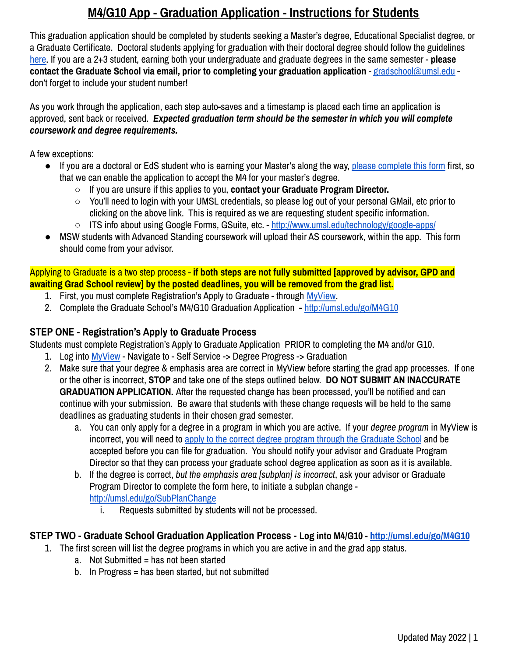This graduation application should be completed by students seeking a Master's degree, Educational Specialist degree, or a Graduate Certificate. Doctoral students applying for graduation with their doctoral degree should follow the guidelines [here.](http://umsl.edu/go/DocGradDeadlines) If you are a 2+3 student, earning both your undergraduate and graduate degrees in the same semester - **please contact the Graduate School via email, prior to completing your graduation application** - [gradschool@umsl.edu](mailto:gradschool@umsl.edu) don't forget to include your student number!

As you work through the application, each step auto-saves and a timestamp is placed each time an application is approved, sent back or received. *Expected graduation term should be the semester in which you will complete coursework and degree requirements.*

A few exceptions:

- If you are a doctoral or EdS student who is earning your Master's along the way, please [complete](http://umsl.edu/go/MastersRequestforPhD) this form first, so that we can enable the application to accept the M4 for your master's degree.
	- If you are unsure if this applies to you, **contact your Graduate Program Director.**
	- You'll need to login with your UMSL credentials, so please log out of your personal GMail, etc prior to clicking on the above link. This is required as we are requesting student specific information.
	- ITS info about using Google Forms, GSuite, etc. <http://www.umsl.edu/technology/google-apps/>
- MSW students with Advanced Standing coursework will upload their AS coursework, within the app. This form should come from your advisor.

Applying to Graduate is a two step process - **if both steps are not fully submitted [approved by advisor, GPD and awaiting Grad School review] by the posted deadlines, you will be removed from the grad list.**

- 1. First, you must complete Registration's Apply to Graduate through [MyView.](http://umsl.edu/go/MyView)
- 2. Complete the Graduate School's M4/G10 Graduation Application <http://umsl.edu/go/M4G10>

### **STEP ONE - Registration's Apply to Graduate Process**

Students must complete Registration's Apply to Graduate Application PRIOR to completing the M4 and/or G10.

- 1. Log into [MyView](http://umsl.edu/go/MyView) Navigate to Self Service -> Degree Progress -> Graduation
- 2. Make sure that your degree & emphasis area are correct in MyView before starting the grad app processes. If one or the other is incorrect, **STOP** and take one of the steps outlined below. **DO NOT SUBMIT AN INACCURATE GRADUATION APPLICATION.** After the requested change has been processed, you'll be notified and can continue with your submission. Be aware that students with these change requests will be held to the same deadlines as graduating students in their chosen grad semester.
	- a. You can only apply for a degree in a program in which you are active. If your *degree program* in MyView is incorrect, you will need to apply to the correct degree program through the [Graduate](http://www.umsl.edu/gradschool/prospective/apply-now.html) School and be accepted before you can file for graduation. You should notify your advisor and Graduate Program Director so that they can process your graduate school degree application as soon as it is available.
	- b. If the degree is correct, *but the emphasis area [subplan] is incorrect*, ask your advisor or Graduate Program Director to complete the form here, to initiate a subplan change <http://umsl.edu/go/SubPlanChange>
		- i. Requests submitted by students will not be processed.

#### **STEP TWO - Graduate School Graduation Application Process - Log into M4/G10 - <http://umsl.edu/go/M4G10>**

- 1. The first screen will list the degree programs in which you are active in and the grad app status.
	- a. Not Submitted = has not been started
	- b. In Progress = has been started, but not submitted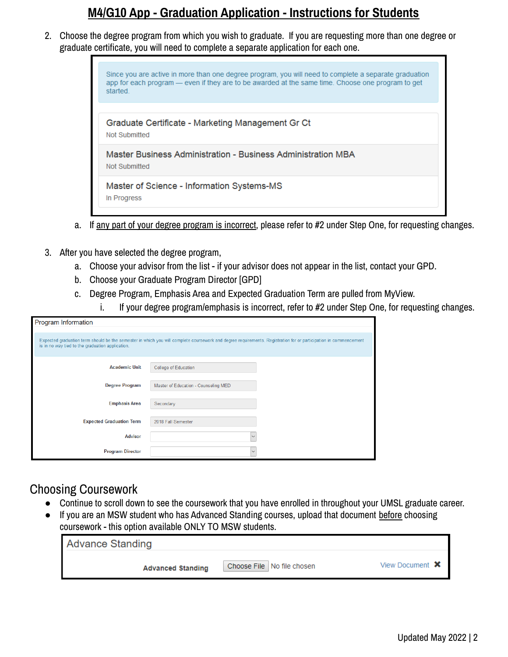2. Choose the degree program from which you wish to graduate. If you are requesting more than one degree or graduate certificate, you will need to complete a separate application for each one.



- a. If any part of your degree program is incorrect, please refer to #2 under Step One, for requesting changes.
- 3. After you have selected the degree program,
	- a. Choose your advisor from the list if your advisor does not appear in the list, contact your GPD.
	- b. Choose your Graduate Program Director [GPD]
	- c. Degree Program, Emphasis Area and Expected Graduation Term are pulled from MyView.
		- i. If your degree program/emphasis is incorrect, refer to #2 under Step One, for requesting changes.

| <b>Program Information</b>                                                                                                                                                                                           |                                      |  |  |  |  |  |  |
|----------------------------------------------------------------------------------------------------------------------------------------------------------------------------------------------------------------------|--------------------------------------|--|--|--|--|--|--|
| Expected graduation term should be the semester in which you will complete coursework and degree requirements. Registration for or participation in commencement<br>is in no way tied to the graduation application. |                                      |  |  |  |  |  |  |
| <b>Academic Unit</b>                                                                                                                                                                                                 | College of Education                 |  |  |  |  |  |  |
| <b>Degree Program</b>                                                                                                                                                                                                | Master of Education - Counseling MED |  |  |  |  |  |  |
| <b>Emphasis Area</b>                                                                                                                                                                                                 | Secondary                            |  |  |  |  |  |  |
| <b>Expected Graduation Term</b>                                                                                                                                                                                      | 2018 Fall Semester                   |  |  |  |  |  |  |
| <b>Advisor</b>                                                                                                                                                                                                       |                                      |  |  |  |  |  |  |
| <b>Program Director</b>                                                                                                                                                                                              |                                      |  |  |  |  |  |  |

### Choosing Coursework

- Continue to scroll down to see the coursework that you have enrolled in throughout your UMSL graduate career.
- If you are an MSW student who has Advanced Standing courses, upload that document before choosing coursework - this option available ONLY TO MSW students.

| <b>Advance Standing</b>  |                              |                        |
|--------------------------|------------------------------|------------------------|
| <b>Advanced Standing</b> | Choose File   No file chosen | View Document <b>X</b> |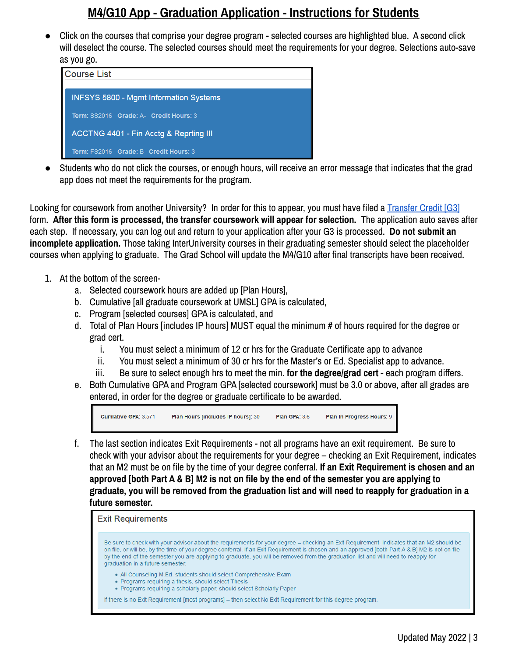Click on the courses that comprise your degree program - selected courses are highlighted blue. A second click will deselect the course. The selected courses should meet the requirements for your degree. Selections auto-save as you go.

| <b>Course List</b>                            |
|-----------------------------------------------|
|                                               |
| <b>INFSYS 5800 - Mgmt Information Systems</b> |
| Term: SS2016 Grade: A- Credit Hours: 3        |
|                                               |
| ACCTNG 4401 - Fin Acctg & Reprting III        |
| Term: FS2016 Grade: B Credit Hours: 3         |
|                                               |

Students who do not click the courses, or enough hours, will receive an error message that indicates that the grad app does not meet the requirements for the program.

Looking for coursework from another University? In order for this to appear, you must have filed a [Transfer](http://www.umsl.edu/gradschool/forms.html#GeneralStudentForms) Credit [G3] form. **After this form is processed, the transfer coursework will appear for selection.** The application auto saves after each step. If necessary, you can log out and return to your application after your G3 is processed. **Do not submit an incomplete application.** Those taking InterUniversity courses in their graduating semester should select the placeholder courses when applying to graduate. The Grad School will update the M4/G10 after final transcripts have been received.

- 1. At the bottom of the screen
	- a. Selected coursework hours are added up [Plan Hours],
	- b. Cumulative [all graduate coursework at UMSL] GPA is calculated,
	- c. Program [selected courses] GPA is calculated, and
	- d. Total of Plan Hours [includes IP hours] MUST equal the minimum # of hours required for the degree or grad cert.
		- i. You must select a minimum of 12 cr hrs for the Graduate Certificate app to advance
		- ii. You must select a minimum of 30 cr hrs for the Master's or Ed. Specialist app to advance.
		- iii. Be sure to select enough hrs to meet the min. **for the degree/grad cert** each program differs.
	- e. Both Cumulative GPA and Program GPA [selected coursework] must be 3.0 or above, after all grades are entered, in order for the degree or graduate certificate to be awarded.

Cumlative GPA: 3.571 Plan Hours [includes IP hours]: 30 **Plan GPA: 3.6** Plan In Progress Hours: 9

f. The last section indicates Exit Requirements - not all programs have an exit requirement. Be sure to check with your advisor about the requirements for your degree – checking an Exit Requirement, indicates that an M2 must be on file by the time of your degree conferral. **If an Exit Requirement is chosen and an** approved [both Part A & B] M2 is not on file by the end of the semester you are applying to graduate, you will be removed from the graduation list and will need to reapply for graduation in a **future semester.**

**Exit Requirements** 

Be sure to check with your advisor about the requirements for your degree - checking an Exit Requirement, indicates that an M2 should be on file, or will be, by the time of your degree conferral. If an Exit Requirement is chosen and an approved [both Part A & B] M2 is not on file by the end of the semester you are applying to graduate, you will be removed from the graduation list and will need to reapply for graduation in a future semester.

- All Counseling M.Ed. students should select Comprehensive Exam
- Programs requiring a thesis, should select Thesis
- Programs requiring a scholarly paper, should select Scholarly Paper

If there is no Exit Requirement [most programs] - then select No Exit Requirement for this degree program.